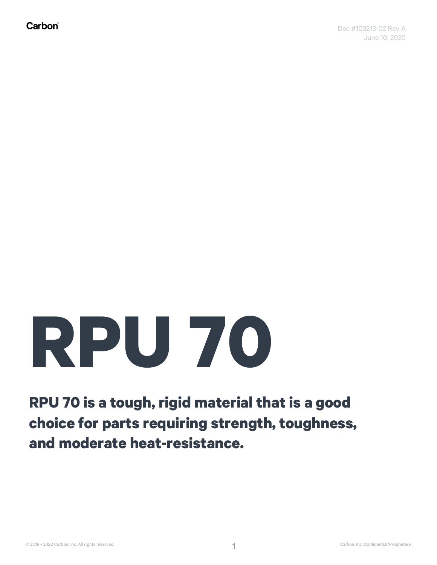## **RPU 70**

**RPU 70 is a tough, rigid material that is a good choice for parts requiring strength, toughness, and moderate heat-resistance.**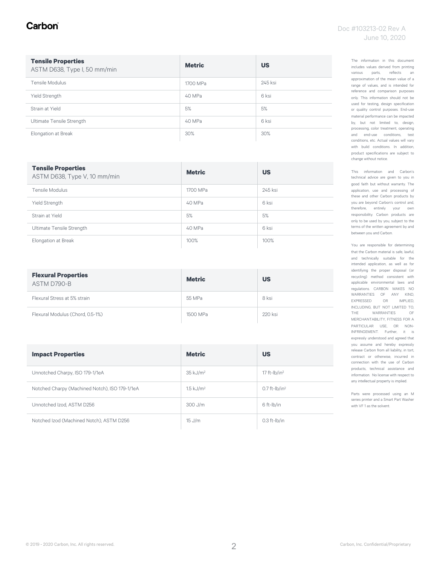#### Carbon

| <b>Tensile Properties</b><br>ASTM D638, Type I, 50 mm/min | <b>Metric</b> | <b>US</b> |
|-----------------------------------------------------------|---------------|-----------|
| Tensile Modulus                                           | 1700 MPa      | 245 ksi   |
| Yield Strength                                            | 40 MPa        | 6 ksi     |
| Strain at Yield                                           | 5%            | 5%        |
| Ultimate Tensile Strength                                 | 40 MPa        | 6 ksi     |
| Elongation at Break                                       | 30%           | 30%       |

| <b>Tensile Properties</b><br>ASTM D638, Type V, 10 mm/min | <b>Metric</b> | <b>US</b> |
|-----------------------------------------------------------|---------------|-----------|
| Tensile Modulus                                           | 1700 MPa      | 245 ksi   |
| Yield Strength                                            | 40 MPa        | 6 ksi     |
| Strain at Yield                                           | 5%            | 5%        |
| Ultimate Tensile Strength                                 | 40 MPa        | 6 ksi     |
| Elongation at Break                                       | 100%          | 100%      |

| <b>Flexural Properties</b><br>ASTM D790-B | <b>Metric</b> | <b>US</b> |
|-------------------------------------------|---------------|-----------|
| Flexural Stress at 5% strain              | 55 MPa        | 8 ksi     |
| Flexural Modulus (Chord, 0.5-1%)          | 1500 MPa      | 220 ksi   |

| <b>Impact Properties</b>                       | <b>Metric</b>           | <b>US</b>                   |
|------------------------------------------------|-------------------------|-----------------------------|
| Unnotched Charpy, ISO 179-1/1eA                | $35$ kJ/m <sup>2</sup>  | 17 ft- $ b/in^2 $           |
| Notched Charpy (Machined Notch), ISO 179-1/1eA | $1.5$ kJ/m <sup>2</sup> | $0.7$ ft-lb/in <sup>2</sup> |
| Unnotched Izod, ASTM D256                      | $300$ J/m               | 6 ft-Ib/in                  |
| Notched Izod (Machined Notch), ASTM D256       | 15 J/m                  | $0.3$ ft- $lb/in$           |

The information in this document includes values derived from printing various parts, reflects an approximation of the mean value of a range of values, and is intended for reference and comparison purposes only. This information should not be used for testing, design specification or quality control purposes. End-use material performance can be impacted by, but not limited to, design, processing, color treatment, operating and end-use conditions, test conditions, etc. Actual values will vary with build conditions. In addition, product specifications are subject to change without notice.

This information and Carbon's technical advice are given to you in good faith but without warranty. The application, use and processing of these and other Carbon products by you are beyond Carbon's control and, therefore, entirely your own responsibility. Carbon products are only to be used by you, subject to the terms of the written agreement by and between you and Carbon.

You are responsible for determining that the Carbon material is safe, lawful, and technically suitable for the intended application, as well as for identifying the proper disposal (or recycling) method consistent with applicable environmental laws and regulations. CARBON MAKES NO WARRANTIES OF ANY KIND, EXPRESSED OR IMPLIED, INCLUDING, BUT NOT LIMITED TO, THE WARRANTIES OF MERCHANTABILITY, FITNESS FOR A PARTICULAR USE, OR NON-INFRINGEMENT. Further, it is expressly understood and agreed that you assume and hereby expressly release Carbon from all liability, in tort, contract or otherwise, incurred in connection with the use of Carbon products, technical assistance and information. No license with respect to any intellectual property is implied.

Parts were processed using an M series printer and a Smart Part Washer with VF 1 as the solvent.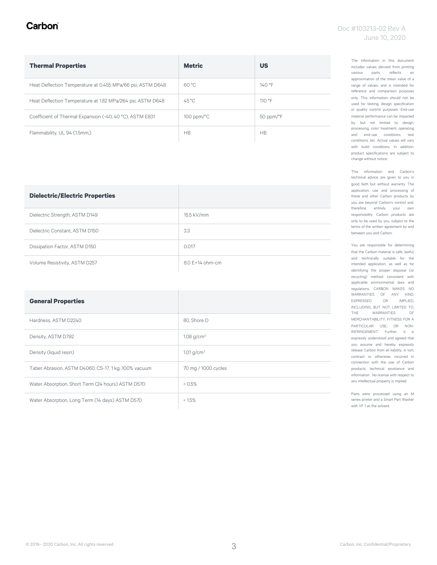#### Carbon

| <b>Thermal Properties</b>                                  | <b>Metric</b>          | <b>US</b>      |
|------------------------------------------------------------|------------------------|----------------|
| Heat Deflection Temperature at 0.455 MPa/66 psi, ASTM D648 | 60 °C                  | $140°$ F       |
| Heat Deflection Temperature at 1.82 MPa/264 psi, ASTM D648 | $45^{\circ}$ C         | 110°F          |
| Coefficient of Thermal Expansion (-40, 40 °C), ASTM E831   | $100$ ppm/ $\degree$ C | 50 ppm/°F      |
| Flammability, UL 94 (1.5mm,)                               | H <sub>B</sub>         | H <sub>B</sub> |

| <b>Dielectric/Electric Properties</b> |                     |
|---------------------------------------|---------------------|
| Dielectric Strength, ASTM D149        | 15.5 kV/mm          |
| Dielectric Constant, ASTM D150        | 3.3                 |
| Dissipation Factor, ASTM D150         | 0.017               |
| Volume Resistivity, ASTM D257         | $8.0 F + 14$ ohm-cm |

| <b>General Properties</b>                            |                          |
|------------------------------------------------------|--------------------------|
| Hardness, ASTM D2240                                 | 80, Shore D              |
| Density, ASTM D792                                   | 1.08 $g/cm^{3}$          |
| Density (liquid resin)                               | $1.01$ g/cm <sup>3</sup> |
| Taber Abrasion, ASTM D4060, CS-17, 1 kg, 100% vacuum | 70 mg / 1000 cycles      |
| Water Absorption, Short Term (24 hours) ASTM D570    | 0.5%                     |
| Water Absorption, Long Term (14 days) ASTM D570      | $< 1.5\%$                |

The information in this document includes values derived from printing various parts, reflects an approximation of the mean value of a range of values, and is intended for reference and comparison purposes only. This information should not be used for testing, design specification or quality control purposes. End-use material performance can be impacted by, but not limited to, design, processing, color treatment, operating and end-use conditions, test conditions, etc. Actual values will vary with build conditions. In addition, product specifications are subject to change without notice.

This information and Carbon's technical advice are given to you in good faith but without warranty. The application, use and processing of these and other Carbon products by you are beyond Carbon's control and, therefore, entirely your own responsibility. Carbon products are only to be used by you, subject to the terms of the written agreement by and between you and Carbon.

You are responsible for determining that the Carbon material is safe, lawful, and technically suitable for the intended application, as well as for identifying the proper disposal (or recycling) method consistent with applicable environmental laws and regulations. CARBON MAKES NO WARRANTIES OF ANY KIND, EXPRESSED OR IMPLIED, INCLUDING, BUT NOT LIMITED TO, THE WARRANTIES OF MERCHANTABILITY, FITNESS FOR A PARTICULAR USE, OR NON-INFRINGEMENT. Further, it is expressly understood and agreed that you assume and hereby expressly release Carbon from all liability, in tort, contract or otherwise, incurred in connection with the use of Carbon products, technical assistance and information. No license with respect to any intellectual property is implied.

Parts were processed using an M series printer and a Smart Part Washer with VF 1 as the solvent.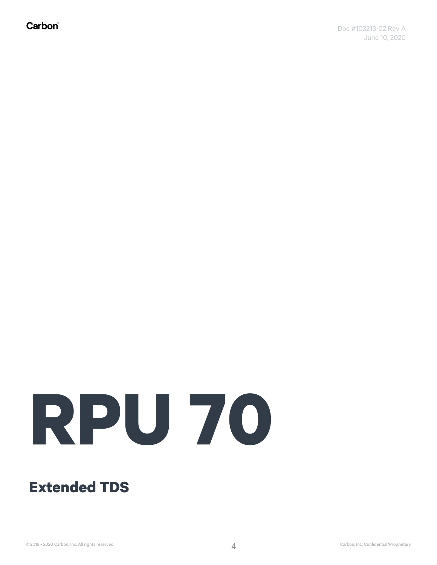Carbon®

# **RPU 70**

### **Extended TDS**

© 2019 - 2020 Carbon, Inc. All rights reserved. Carbon Carbon Carbon, Inc. Confidential/Proprietary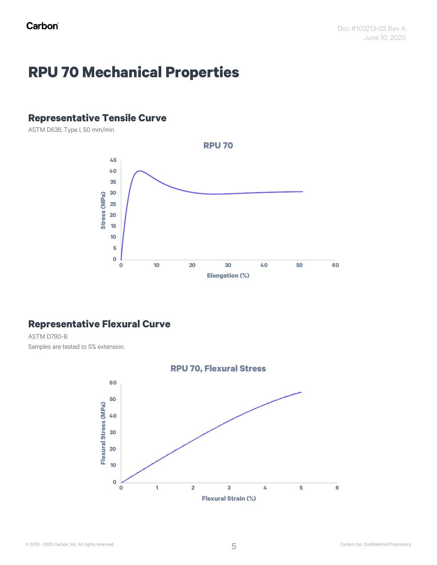## **RPU 70 Mechanical Properties**

#### **Representative Tensile Curve**

ASTM D638, Type I, 50 mm/min



#### **Representative Flexural Curve**

ASTM D790-B Samples are tested to 5% extension.

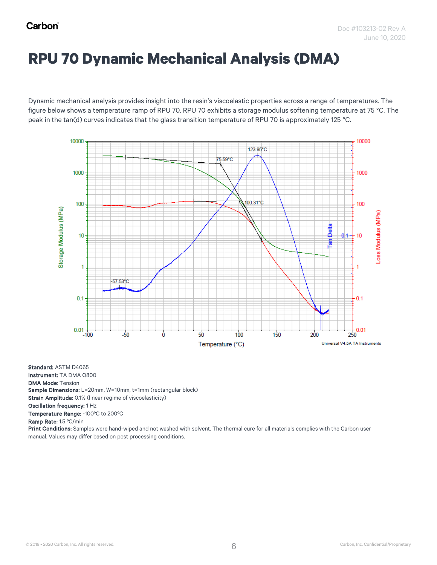## **RPU 70 Dynamic Mechanical Analysis (DMA)**

Dynamic mechanical analysis provides insight into the resin's viscoelastic properties across a range of temperatures. The figure below shows a temperature ramp of RPU 70. RPU 70 exhibits a storage modulus softening temperature at 75 °C. The peak in the tan(d) curves indicates that the glass transition temperature of RPU 70 is approximately 125 °C.



Standard: ASTM D4065 Instrument: TA DMA Q800 DMA Mode: Tension

Sample Dimensions: L=20mm, W=10mm, t=1mm (rectangular block)

Strain Amplitude: 0.1% (linear regime of viscoelasticity)

Oscillation frequency: 1 Hz

Temperature Range: -100ºC to 200ºC

Ramp Rate: 1.5 ºC/min

Print Conditions: Samples were hand-wiped and not washed with solvent. The thermal cure for all materials complies with the Carbon user manual. Values may differ based on post processing conditions.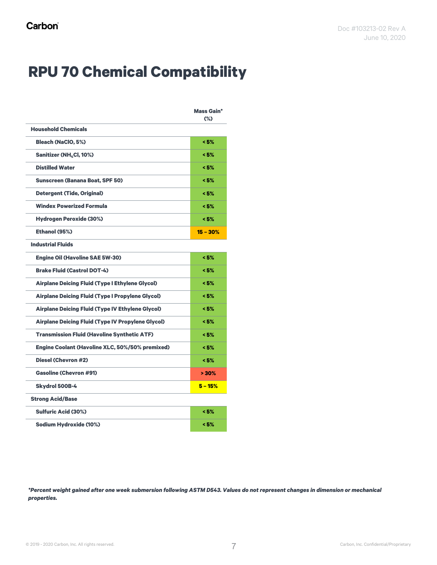## **RPU 70 Chemical Compatibility**

|                                                          | <b>Mass Gain*</b><br>(%) |
|----------------------------------------------------------|--------------------------|
| <b>Household Chemicals</b>                               |                          |
| <b>Bleach (NaClO, 5%)</b>                                | < 5%                     |
| Sanitizer (NH <sub>4</sub> Cl, 10%)                      | < 5%                     |
| <b>Distilled Water</b>                                   | < 5%                     |
| <b>Sunscreen (Banana Boat, SPF 50)</b>                   | < 5%                     |
| <b>Detergent (Tide, Original)</b>                        | < 5%                     |
| <b>Windex Powerized Formula</b>                          | < 5%                     |
| <b>Hydrogen Peroxide (30%)</b>                           | < 5%                     |
| Ethanol (95%)                                            | $15 - 30%$               |
| <b>Industrial Fluids</b>                                 |                          |
| <b>Engine Oil (Havoline SAE 5W-30)</b>                   | < 5%                     |
| <b>Brake Fluid (Castrol DOT-4)</b>                       | < 5%                     |
| Airplane Deicing Fluid (Type I Ethylene Glycol)          | < 5%                     |
| <b>Airplane Deicing Fluid (Type I Propylene Glycol)</b>  | < 5%                     |
| <b>Airplane Deicing Fluid (Type IV Ethylene Glycol)</b>  | < 5%                     |
| <b>Airplane Deicing Fluid (Type IV Propylene Glycol)</b> | < 5%                     |
| <b>Transmission Fluid (Havoline Synthetic ATF)</b>       | < 5%                     |
| <b>Engine Coolant (Havoline XLC, 50%/50% premixed)</b>   | < 5%                     |
| <b>Diesel (Chevron #2)</b>                               | < 5%                     |
| <b>Gasoline (Chevron #91)</b>                            | >30%                     |
| Skydrol 500B-4                                           | $5 - 15%$                |
| <b>Strong Acid/Base</b>                                  |                          |
| <b>Sulfuric Acid (30%)</b>                               | < 5%                     |
| Sodium Hydroxide (10%)                                   | < 5%                     |

*\*Percent weight gained after one week submersion following ASTM D543. Values do not represent changes in dimension or mechanical properties.*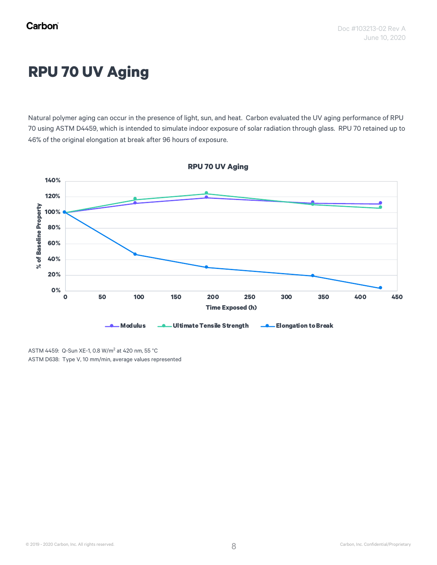## **RPU 70 UV Aging**

Natural polymer aging can occur in the presence of light, sun, and heat. Carbon evaluated the UV aging performance of RPU 70 using ASTM D4459, which is intended to simulate indoor exposure of solar radiation through glass. RPU 70 retained up to 46% of the original elongation at break after 96 hours of exposure.



**RPU 70 UV Aging**

ASTM 4459: Q-Sun XE-1, 0.8 W/m<sup>2</sup> at 420 nm, 55 °C ASTM D638: Type V, 10 mm/min, average values represented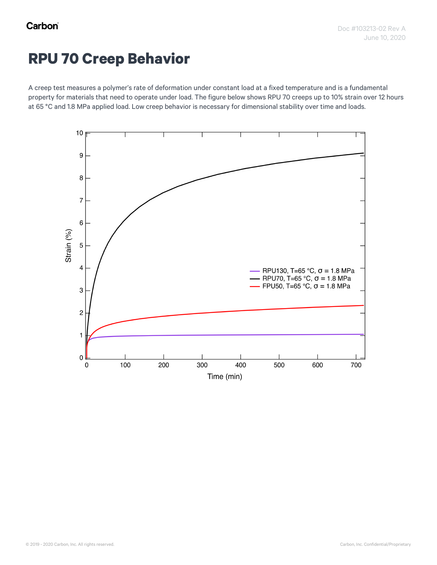### **RPU 70 Creep Behavior**

A creep test measures a polymer's rate of deformation under constant load at a fixed temperature and is a fundamental property for materials that need to operate under load. The figure below shows RPU 70 creeps up to 10% strain over 12 hours at 65 °C and 1.8 MPa applied load. Low creep behavior is necessary for dimensional stability over time and loads.